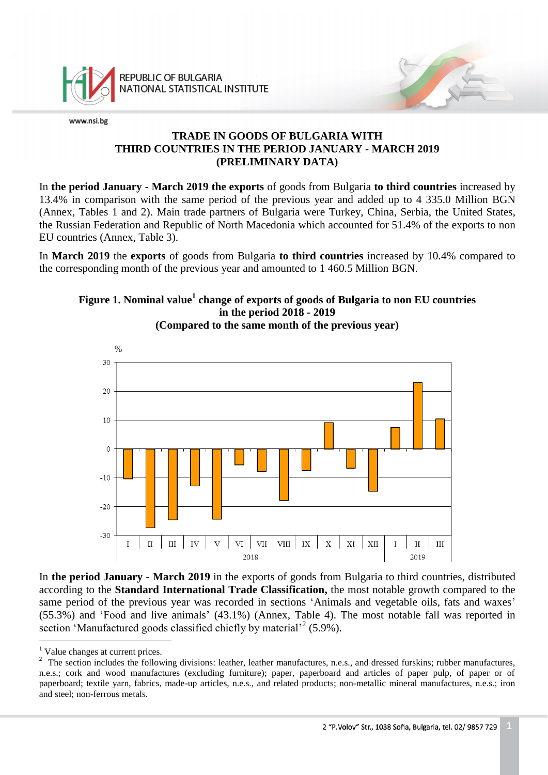

# **TRADE IN GOODS OF BULGARIA WITH THIRD COUNTRIES IN THE PERIOD JANUARY - MARCH 2019 (PRELIMINARY DATA)**

In **the period January - March 2019 the exports** of goods from Bulgaria **to third countries** increased by 13.4% in comparison with the same period of the previous year and added up to 4 335.0 Million BGN (Annex, Tables 1 and 2). Main trade partners of Bulgaria were Turkey, China, Serbia, the United States, the Russian Federation and Republic of North Macedonia which accounted for 51.4% of the exports to non EU countries (Annex, Table 3).

In **March 2019** the **exports** of goods from Bulgaria **to third countries** increased by 10.4% compared to the corresponding month of the previous year and amounted to 1 460.5 Million BGN.

# **Figure 1. Nominal value<sup>1</sup> change of exports of goods of Bulgaria to non EU countries in the period 2018 - 2019**



**(Compared to the same month of the previous year)**

In **the period January - March 2019** in the exports of goods from Bulgaria to third countries, distributed according to the **Standard International Trade Classification,** the most notable growth compared to the same period of the previous year was recorded in sections 'Animals and vegetable oils, fats and waxes' (55.3%) and 'Food and live animals' (43.1%) (Annex, Table 4). The most notable fall was reported in section 'Manufactured goods classified chiefly by material<sup>22</sup> (5.9%). a<br>B

<sup>&</sup>lt;sup>1</sup> Value changes at current prices.

<sup>&</sup>lt;sup>2</sup> The section includes the following divisions: leather, leather manufactures, n.e.s., and dressed furskins; rubber manufactures, n.e.s.; cork and wood manufactures (excluding furniture); paper, paperboard and articles of paper pulp, of paper or of paperboard; textile yarn, fabrics, made-up articles, n.e.s., and related products; non-metallic mineral manufactures, n.e.s.; iron and steel; non-ferrous metals.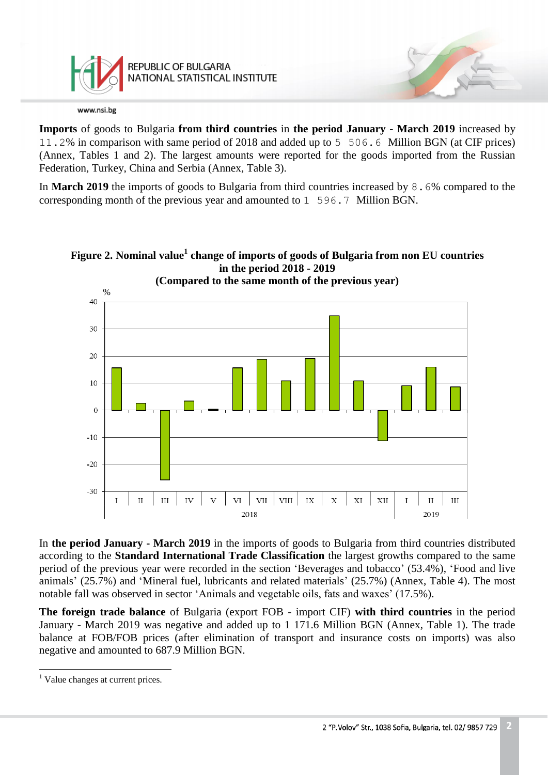

**Imports** of goods to Bulgaria **from third countries** in **the period January - March 2019** increased by 11.2% in comparison with same period of 2018 and added up to 5 506.6 Million BGN (at CIF prices) (Annex, Tables 1 and 2). The largest amounts were reported for the goods imported from the Russian Federation, Turkey, China and Serbia (Annex, Table 3).

In **March 2019** the imports of goods to Bulgaria from third countries increased by 8.6% compared to the corresponding month of the previous year and amounted to 1 596.7 Million BGN.



**Figure 2. Nominal value<sup>1</sup> change of imports of goods of Bulgaria from non EU countries in the period 2018 - 2019**

In **the period January - March 2019** in the imports of goods to Bulgaria from third countries distributed according to the **Standard International Trade Classification** the largest growths compared to the same period of the previous year were recorded in the section 'Beverages and tobacco' (53.4%), 'Food and live animals' (25.7%) and 'Mineral fuel, lubricants and related materials' (25.7%) (Annex, Table 4). The most notable fall was observed in sector 'Animals and vegetable oils, fats and waxes' (17.5%).

**The foreign trade balance** of Bulgaria (export FOB - import CIF) **with third countries** in the period January - March 2019 was negative and added up to 1 171.6 Million BGN (Annex, Table 1). The trade balance at FOB/FOB prices (after elimination of transport and insurance costs on imports) was also negative and amounted to 687.9 Million BGN.

a<br>B

<sup>&</sup>lt;sup>1</sup> Value changes at current prices.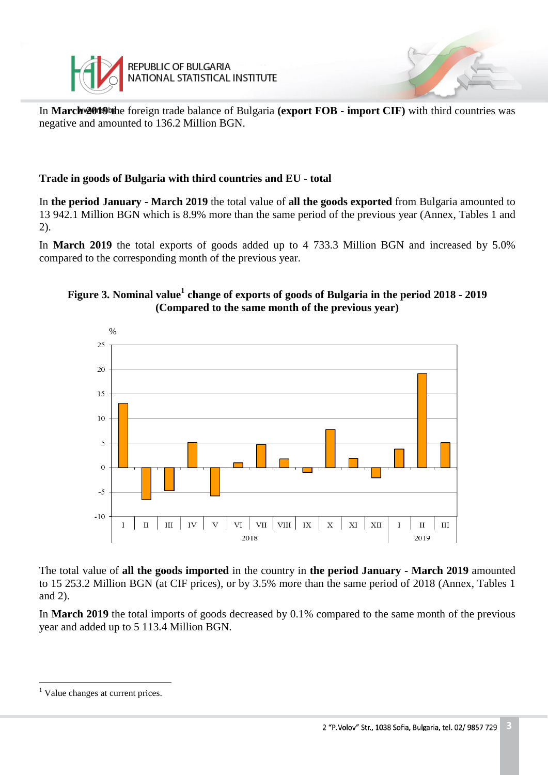

In **March 2019** the foreign trade balance of Bulgaria **(export FOB - import CIF)** with third countries was negative and amounted to 136.2 Million BGN.

# **Trade in goods of Bulgaria with third countries and EU - total**

In **the period January - March 2019** the total value of **all the goods exported** from Bulgaria amounted to 13 942.1 Million BGN which is 8.9% more than the same period of the previous year (Annex, Tables 1 and 2).

In **March 2019** the total exports of goods added up to 4 733.3 Million BGN and increased by 5.0% compared to the corresponding month of the previous year.

# **Figure 3. Nominal value<sup>1</sup> change of exports of goods of Bulgaria in the period 2018 - 2019 (Compared to the same month of the previous year)**



The total value of **all the goods imported** in the country in **the period January - March 2019** amounted to 15 253.2 Million BGN (at CIF prices), or by 3.5% more than the same period of 2018 (Annex, Tables 1 and 2).

In **March 2019** the total imports of goods decreased by 0.1% compared to the same month of the previous year and added up to 5 113.4 Million BGN.

a<br>B

<sup>&</sup>lt;sup>1</sup> Value changes at current prices.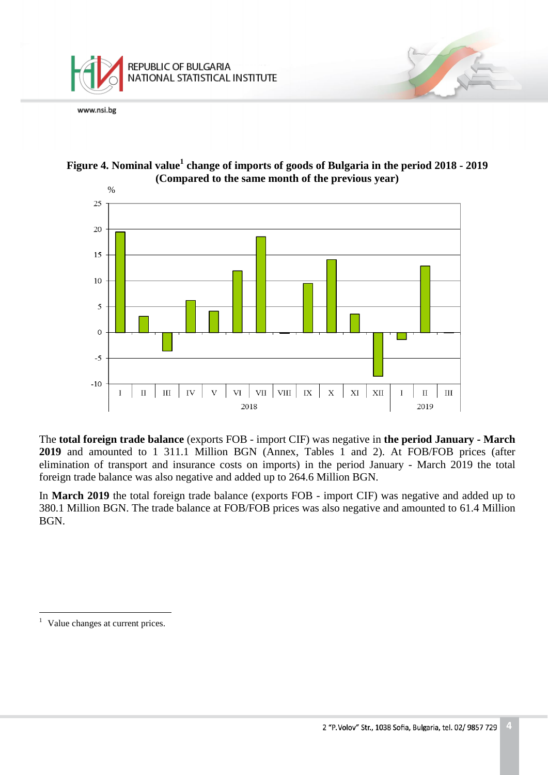





The **total foreign trade balance** (exports FOB - import CIF) was negative in **the period January - March 2019** and amounted to 1 311.1 Million BGN (Annex, Tables 1 and 2). At FOB/FOB prices (after elimination of transport and insurance costs on imports) in the period January - March 2019 the total foreign trade balance was also negative and added up to 264.6 Million BGN.

In **March 2019** the total foreign trade balance (exports FOB - import CIF) was negative and added up to 380.1 Million BGN. The trade balance at FOB/FOB prices was also negative and amounted to 61.4 Million BGN.

<sup>1</sup> Value changes at current prices.

L,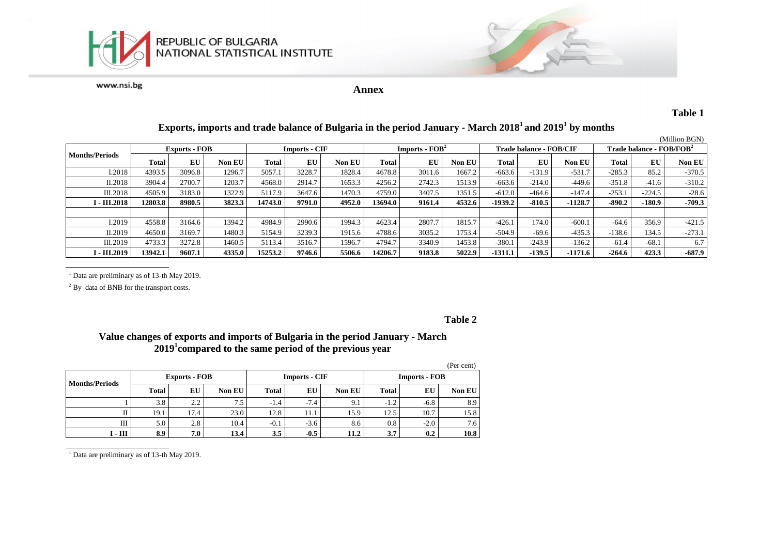

**Annex**

#### **Table 1**

#### (Million BGN) **Months/Periods Exports - FOB Imports - CIF Imports - FOB<sup>2</sup> Trade balance - FOB/CIF Trade balance - FOB/FOB<sup>2</sup> Total EU Non EU Total EU Non EU Total EU Non EU Total EU Non EU Total EU Non EU**  I.2018 4393.5 3096.8 1296.7 5057.1 3228.7 1828.4 4678.8 3011.6 1667.2 -663.6 -131.9 -531.7 -285.3 85.2 -370.5 II.2018 3904.4 2700.7 1203.7 4568.0 2914.7 1653.3 4256.2 2742.3 1513.9 -663.6 -214.0 -449.6 -351.8 -41.6 -310.2 III.2018 4505.9 3183.0 1322.9 5117.9 3647.6 1470.3 4759.0 3407.5 1351.5 -612.0 -464.6 -147.4 -253.1 -224.5 -28.6 I - III.2018 | 12803.8 | 8980.5 | 3823.3 | 14743.0 | 9791.0 | 4952.0 | 13694.0 | 9161.4 | 4532.6 | -1939.2 | -810.5 | -1128.7 | -890.2 | -180.9 | -709.3 I.2019 4558.8 3164.6 1394.2 4984.9 2990.6 1994.3 4623.4 2807.7 1815.7 -426.1 174.0 -600.1 -64.6 356.9 -421.5 II.2019 4650.0 3169.7 1480.3 5154.9 3239.3 1915.6 4788.6 3035.2 1753.4 -504.9 -69.6 -435.3 -138.6 134.5 -273.1 III.2019 4733.3 3272.8 1460.5 5113.4 3516.7 1596.7 4794.7 3340.9 1453.8 -380.1 -243.9 -136.2 -61.4 -68.1 6.7 I - III.2019 | 13942.1 | 9607.1 | 4335.0 | 15253.2 | 9746.6 | 5506.6 | 14206.7 | 9183.8 | 5022.9 | -1311.1 | -139.5 | -1171.6 | -264.6 | 423.3 | -687.9

# **Exports, imports and trade balance of Bulgaria in the period January - March 2018<sup>1</sup>and 2019<sup>1</sup> by months**

 $<sup>1</sup>$  Data are preliminary as of 13-th May 2019.</sup>

<sup>2</sup> By data of BNB for the transport costs.

#### **Table 2**

### **Value changes of exports and imports of Bulgaria in the period January - March 2019<sup>1</sup> compared to the same period of the previous year**

|                       |                      |      |        |        |                      |               |                      |        | (Per cent) |
|-----------------------|----------------------|------|--------|--------|----------------------|---------------|----------------------|--------|------------|
| <b>Months/Periods</b> | <b>Exports - FOB</b> |      |        |        | <b>Imports - CIF</b> |               | <b>Imports - FOB</b> |        |            |
|                       | <b>Total</b>         | EU   | Non EU | Total  | EU                   | <b>Non EU</b> | <b>Total</b>         | EU     | Non EU     |
|                       | 3.8                  | 2.2  | 7.5    | $-1.4$ | $-7.4$               | 9.1           | $-1.2$               | $-6.8$ | 8.9        |
|                       | 19.1                 | 17.4 | 23.0   | 12.8   | 11.1                 | 15.9          | 12.5                 | 10.7   | 15.8       |
| Ш                     | 5.0                  | 2.8  | 10.4   | $-0.1$ | $-3.6$               | 8.6           | 0.8                  | $-2.0$ | 7.6        |
| $I - III$             | 8.9                  | 7.0  | 13.4   | 3.5    | $-0.5$               | 11.2          | 3.7                  | 0.2    | 10.8       |

 $1$  Data are preliminary as of 13-th May 2019.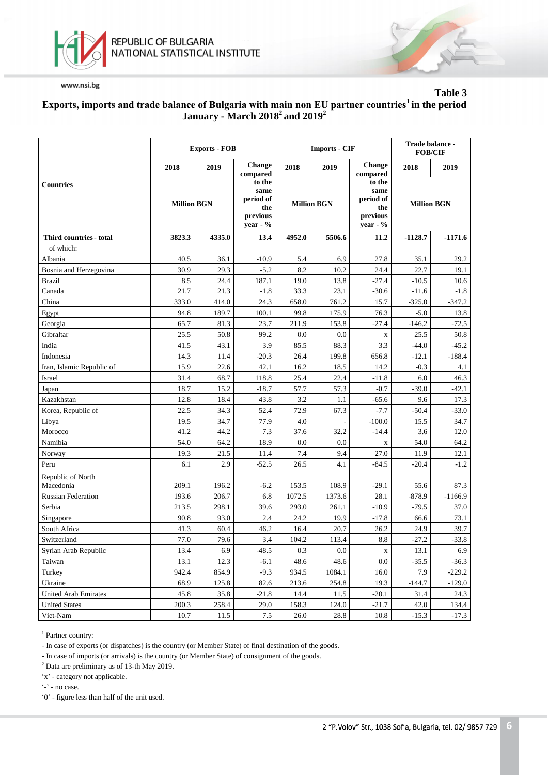

**Table 3**

### **Еxports, imports and trade balance of Bulgaria with main non EU partner countries<sup>1</sup>in the period January - March 2018<sup>2</sup>and 2019<sup>2</sup>**

|                                |                    | <b>Exports - FOB</b> |                                                              |                    | <b>Imports - CIF</b> | Trade balance -<br><b>FOB/CIF</b>                                                |           |           |
|--------------------------------|--------------------|----------------------|--------------------------------------------------------------|--------------------|----------------------|----------------------------------------------------------------------------------|-----------|-----------|
|                                | 2018               | 2019                 | <b>Change</b><br>compared                                    | 2018               | 2019                 | <b>Change</b><br>compared                                                        | 2018      | 2019      |
| Countries                      | <b>Million BGN</b> |                      | to the<br>same<br>period of<br>the<br>previous<br>year - $%$ | <b>Million BGN</b> |                      | to the<br>same<br>period of<br><b>Million BGN</b><br>the<br>previous<br>year - % |           |           |
| Third countries - total        | 3823.3             | 4335.0               | 13.4                                                         | 4952.0             | 5506.6               | 11.2                                                                             | $-1128.7$ | $-1171.6$ |
| of which:                      |                    |                      |                                                              |                    |                      |                                                                                  |           |           |
| Albania                        | 40.5               | 36.1                 | $-10.9$                                                      | 5.4                | 6.9                  | 27.8                                                                             | 35.1      | 29.2      |
| Bosnia and Herzegovina         | 30.9               | 29.3                 | $-5.2$                                                       | 8.2                | 10.2                 | 24.4                                                                             | 22.7      | 19.1      |
| <b>Brazil</b>                  | 8.5                | 24.4                 | 187.1                                                        | 19.0               | 13.8                 | $-27.4$                                                                          | $-10.5$   | 10.6      |
| Canada                         | 21.7               | 21.3                 | $-1.8$                                                       | 33.3               | 23.1                 | $-30.6$                                                                          | $-11.6$   | $-1.8$    |
| China                          | 333.0              | 414.0                | 24.3                                                         | 658.0              | 761.2                | 15.7                                                                             | $-325.0$  | $-347.2$  |
| Egypt                          | 94.8               | 189.7                | 100.1                                                        | 99.8               | 175.9                | 76.3                                                                             | $-5.0$    | 13.8      |
| Georgia                        | 65.7               | 81.3                 | 23.7                                                         | 211.9              | 153.8                | $-27.4$                                                                          | $-146.2$  | $-72.5$   |
| Gibraltar                      | 25.5               | 50.8                 | 99.2                                                         | 0.0                | 0.0                  | $\mathbf X$                                                                      | 25.5      | 50.8      |
| India                          | 41.5               | 43.1                 | 3.9                                                          | 85.5               | 88.3                 | 3.3                                                                              | $-44.0$   | $-45.2$   |
| Indonesia                      | 14.3               | 11.4                 | $-20.3$                                                      | 26.4               | 199.8                | 656.8                                                                            | $-12.1$   | $-188.4$  |
| Iran, Islamic Republic of      | 15.9               | 22.6                 | 42.1                                                         | 16.2               | 18.5                 | 14.2                                                                             | $-0.3$    | 4.1       |
| Israel                         | 31.4               | 68.7                 | 118.8                                                        | 25.4               | 22.4                 | $-11.8$                                                                          | 6.0       | 46.3      |
| Japan                          | 18.7               | 15.2                 | $-18.7$                                                      | 57.7               | 57.3                 | $-0.7$                                                                           | $-39.0$   | $-42.1$   |
| Kazakhstan                     | 12.8               | 18.4                 | 43.8                                                         | 3.2                | 1.1                  | $-65.6$                                                                          | 9.6       | 17.3      |
| Korea, Republic of             | 22.5               | 34.3                 | 52.4                                                         | 72.9               | 67.3                 | $-7.7$                                                                           | $-50.4$   | $-33.0$   |
| Libya                          | 19.5               | 34.7                 | 77.9                                                         | 4.0                |                      | $-100.0$                                                                         | 15.5      | 34.7      |
| Morocco                        | 41.2               | 44.2                 | 7.3                                                          | 37.6               | 32.2                 | $-14.4$                                                                          | 3.6       | 12.0      |
| Namibia                        | 54.0               | 64.2                 | 18.9                                                         | 0.0                | 0.0                  | $\mathbf X$                                                                      | 54.0      | 64.2      |
| Norway                         | 19.3               | 21.5                 | 11.4                                                         | 7.4                | 9.4                  | 27.0                                                                             | 11.9      | 12.1      |
| Peru                           | 6.1                | 2.9                  | $-52.5$                                                      | 26.5               | 4.1                  | $-84.5$                                                                          | $-20.4$   | $-1.2$    |
| Republic of North<br>Macedonia | 209.1              | 196.2                | $-6.2$                                                       | 153.5              | 108.9                | $-29.1$                                                                          | 55.6      | 87.3      |
| Russian Federation             | 193.6              | 206.7                | 6.8                                                          | 1072.5             | 1373.6               | 28.1                                                                             | $-878.9$  | $-1166.9$ |
| Serbia                         | 213.5              | 298.1                | 39.6                                                         | 293.0              | 261.1                | $-10.9$                                                                          | $-79.5$   | 37.0      |
| Singapore                      | 90.8               | 93.0                 | 2.4                                                          | 24.2               | 19.9                 | $-17.8$                                                                          | 66.6      | 73.1      |
| South Africa                   | 41.3               | 60.4                 | 46.2                                                         | 16.4               | 20.7                 | 26.2                                                                             | 24.9      | 39.7      |
| Switzerland                    | 77.0               | 79.6                 | 3.4                                                          | 104.2              | 113.4                | 8.8                                                                              | $-27.2$   | $-33.8$   |
| Syrian Arab Republic           | 13.4               | 6.9                  | $-48.5$                                                      | $0.3\,$            | $0.0\,$              |                                                                                  | 13.1      | 6.9       |
| Taiwan                         | 13.1               | 12.3                 | $-6.1$                                                       | 48.6               | 48.6                 | X<br>$0.0\,$                                                                     | $-35.5$   | $-36.3$   |
| Turkey                         | 942.4              | 854.9                | $-9.3$                                                       | 934.5              | 1084.1               | 16.0                                                                             | 7.9       | $-229.2$  |
| Ukraine                        | 68.9               | 125.8                | 82.6                                                         | 213.6              | 254.8                | 19.3                                                                             | $-144.7$  | $-129.0$  |
| <b>United Arab Emirates</b>    | 45.8               | 35.8                 | $-21.8$                                                      | 14.4               | 11.5                 | $-20.1$                                                                          | 31.4      | 24.3      |
| <b>United States</b>           | 200.3              | 258.4                | 29.0                                                         | 158.3              | 124.0                | $-21.7$                                                                          | 42.0      | 134.4     |
| Viet-Nam                       | 10.7               | 11.5                 | 7.5                                                          | 26.0               | 28.8                 | 10.8                                                                             | $-15.3$   | $-17.3$   |

<sup>1</sup> Partner country:

- In case of exports (or dispatches) is the country (or Member State) of final destination of the goods.

- In case of imports (or arrivals) is the country (or Member State) of consignment of the goods.

<sup>2</sup> Data are preliminary as of 13-th May 2019.

'x' - category not applicable.

'-' - no case.

'0' - figure less than half of the unit used.